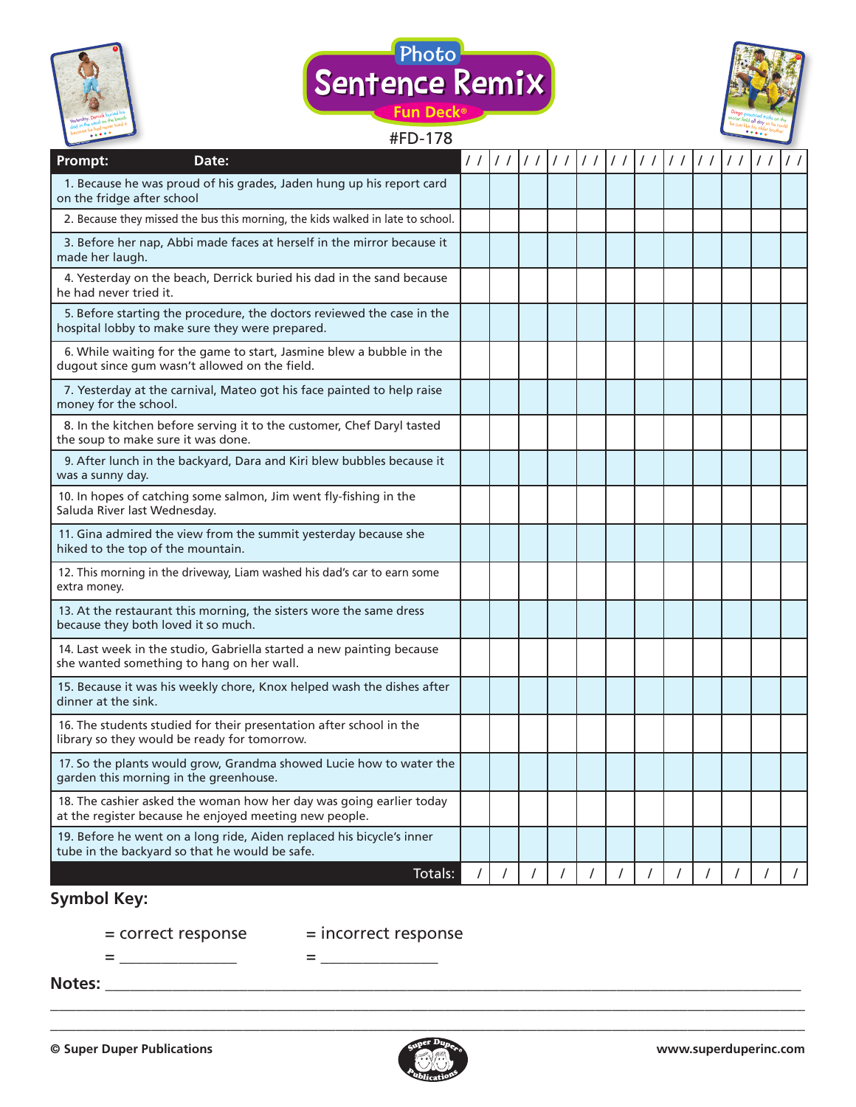



# $HED$  170



| #FD-178                                                                                                                       |          |                  |    |  |  |                      |               |  |
|-------------------------------------------------------------------------------------------------------------------------------|----------|------------------|----|--|--|----------------------|---------------|--|
| Prompt:<br>Date:                                                                                                              | 11       | $\left  \right $ | 11 |  |  | // // // // // // // | $\frac{1}{2}$ |  |
| 1. Because he was proud of his grades, Jaden hung up his report card<br>on the fridge after school                            |          |                  |    |  |  |                      |               |  |
| 2. Because they missed the bus this morning, the kids walked in late to school.                                               |          |                  |    |  |  |                      |               |  |
| 3. Before her nap, Abbi made faces at herself in the mirror because it<br>made her laugh.                                     |          |                  |    |  |  |                      |               |  |
| 4. Yesterday on the beach, Derrick buried his dad in the sand because<br>he had never tried it.                               |          |                  |    |  |  |                      |               |  |
| 5. Before starting the procedure, the doctors reviewed the case in the<br>hospital lobby to make sure they were prepared.     |          |                  |    |  |  |                      |               |  |
| 6. While waiting for the game to start, Jasmine blew a bubble in the<br>dugout since gum wasn't allowed on the field.         |          |                  |    |  |  |                      |               |  |
| 7. Yesterday at the carnival, Mateo got his face painted to help raise<br>money for the school.                               |          |                  |    |  |  |                      |               |  |
| 8. In the kitchen before serving it to the customer, Chef Daryl tasted<br>the soup to make sure it was done.                  |          |                  |    |  |  |                      |               |  |
| 9. After lunch in the backyard, Dara and Kiri blew bubbles because it<br>was a sunny day.                                     |          |                  |    |  |  |                      |               |  |
| 10. In hopes of catching some salmon, Jim went fly-fishing in the<br>Saluda River last Wednesday.                             |          |                  |    |  |  |                      |               |  |
| 11. Gina admired the view from the summit yesterday because she<br>hiked to the top of the mountain.                          |          |                  |    |  |  |                      |               |  |
| 12. This morning in the driveway, Liam washed his dad's car to earn some<br>extra money.                                      |          |                  |    |  |  |                      |               |  |
| 13. At the restaurant this morning, the sisters wore the same dress<br>because they both loved it so much.                    |          |                  |    |  |  |                      |               |  |
| 14. Last week in the studio, Gabriella started a new painting because<br>she wanted something to hang on her wall.            |          |                  |    |  |  |                      |               |  |
| 15. Because it was his weekly chore, Knox helped wash the dishes after<br>dinner at the sink.                                 |          |                  |    |  |  |                      |               |  |
| 16. The students studied for their presentation after school in the<br>library so they would be ready for tomorrow.           |          |                  |    |  |  |                      |               |  |
| 17. So the plants would grow, Grandma showed Lucie how to water the<br>garden this morning in the greenhouse.                 |          |                  |    |  |  |                      |               |  |
| 18. The cashier asked the woman how her day was going earlier today<br>at the register because he enjoyed meeting new people. |          |                  |    |  |  |                      |               |  |
| 19. Before he went on a long ride, Aiden replaced his bicycle's inner<br>tube in the backyard so that he would be safe.       |          |                  |    |  |  |                      |               |  |
| Totals:                                                                                                                       | $\prime$ |                  |    |  |  |                      |               |  |

## **Symbol Key:**

 $=\underline{\hspace{2.5cm}}$ 

= correct response = incorrect response

**Notes:** \_\_\_\_\_\_\_\_\_\_\_\_\_\_\_\_\_\_\_\_\_\_\_\_\_\_\_\_\_\_\_\_\_\_\_\_\_\_\_\_\_\_\_\_\_\_\_\_\_\_\_\_\_\_\_\_\_\_\_\_\_\_\_\_\_\_\_\_\_\_\_\_\_\_\_\_\_\_\_\_\_\_\_



\_\_\_\_\_\_\_\_\_\_\_\_\_\_\_\_\_\_\_\_\_\_\_\_\_\_\_\_\_\_\_\_\_\_\_\_\_\_\_\_\_\_\_\_\_\_\_\_\_\_\_\_\_\_\_\_\_\_\_\_\_\_\_\_\_\_\_\_\_\_\_\_\_\_\_\_\_\_\_\_\_\_\_\_\_\_\_\_\_\_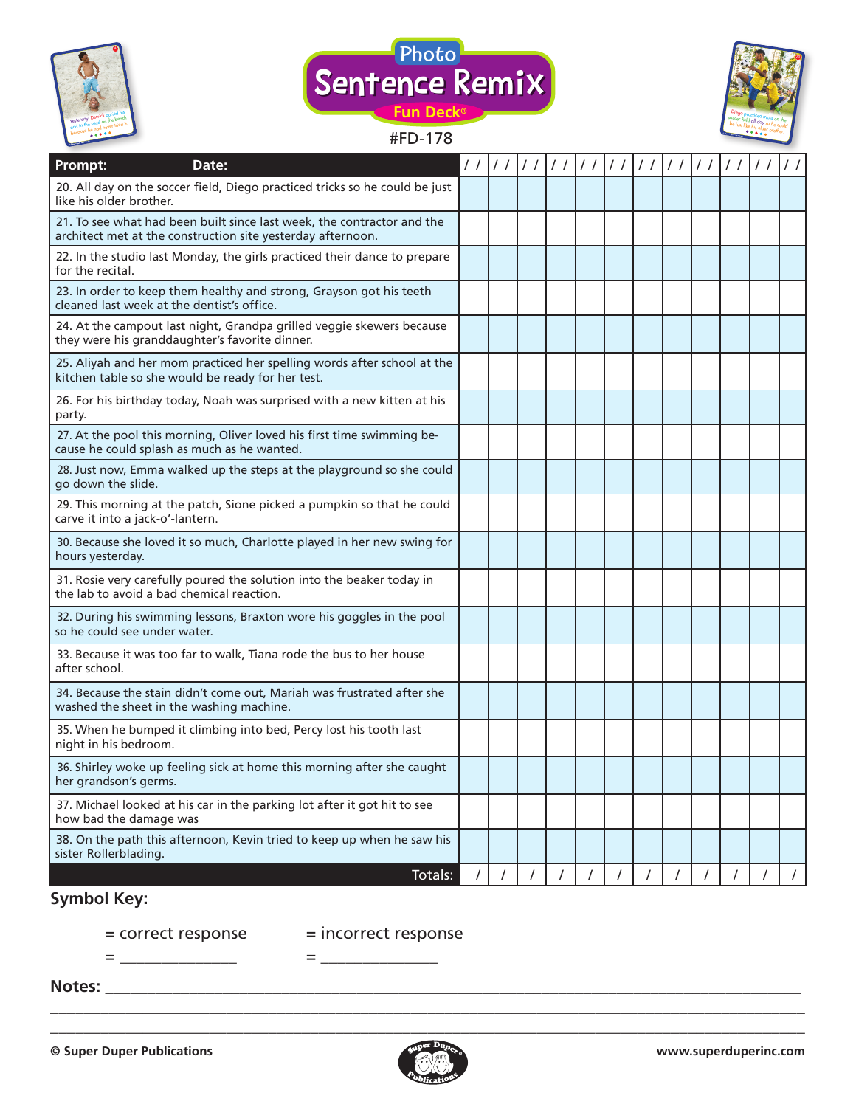



### #FD-178



| Prompt:<br>Date:                                                                                                                      |  | //////////// |          | $\left  \frac{1}{\sqrt{2}} \right $ |  | 1111 |  | $\frac{1}{2}$ | $\frac{1}{2}$ |
|---------------------------------------------------------------------------------------------------------------------------------------|--|--------------|----------|-------------------------------------|--|------|--|---------------|---------------|
| 20. All day on the soccer field, Diego practiced tricks so he could be just<br>like his older brother.                                |  |              |          |                                     |  |      |  |               |               |
| 21. To see what had been built since last week, the contractor and the<br>architect met at the construction site yesterday afternoon. |  |              |          |                                     |  |      |  |               |               |
| 22. In the studio last Monday, the girls practiced their dance to prepare<br>for the recital.                                         |  |              |          |                                     |  |      |  |               |               |
| 23. In order to keep them healthy and strong, Grayson got his teeth<br>cleaned last week at the dentist's office.                     |  |              |          |                                     |  |      |  |               |               |
| 24. At the campout last night, Grandpa grilled veggie skewers because<br>they were his granddaughter's favorite dinner.               |  |              |          |                                     |  |      |  |               |               |
| 25. Aliyah and her mom practiced her spelling words after school at the<br>kitchen table so she would be ready for her test.          |  |              |          |                                     |  |      |  |               |               |
| 26. For his birthday today, Noah was surprised with a new kitten at his<br>party.                                                     |  |              |          |                                     |  |      |  |               |               |
| 27. At the pool this morning, Oliver loved his first time swimming be-<br>cause he could splash as much as he wanted.                 |  |              |          |                                     |  |      |  |               |               |
| 28. Just now, Emma walked up the steps at the playground so she could<br>go down the slide.                                           |  |              |          |                                     |  |      |  |               |               |
| 29. This morning at the patch, Sione picked a pumpkin so that he could<br>carve it into a jack-o'-lantern.                            |  |              |          |                                     |  |      |  |               |               |
| 30. Because she loved it so much, Charlotte played in her new swing for<br>hours yesterday.                                           |  |              |          |                                     |  |      |  |               |               |
| 31. Rosie very carefully poured the solution into the beaker today in<br>the lab to avoid a bad chemical reaction.                    |  |              |          |                                     |  |      |  |               |               |
| 32. During his swimming lessons, Braxton wore his goggles in the pool<br>so he could see under water.                                 |  |              |          |                                     |  |      |  |               |               |
| 33. Because it was too far to walk, Tiana rode the bus to her house<br>after school.                                                  |  |              |          |                                     |  |      |  |               |               |
| 34. Because the stain didn't come out, Mariah was frustrated after she<br>washed the sheet in the washing machine.                    |  |              |          |                                     |  |      |  |               |               |
| 35. When he bumped it climbing into bed, Percy lost his tooth last<br>night in his bedroom.                                           |  |              |          |                                     |  |      |  |               |               |
| 36. Shirley woke up feeling sick at home this morning after she caught<br>her grandson's germs.                                       |  |              |          |                                     |  |      |  |               |               |
| 37. Michael looked at his car in the parking lot after it got hit to see<br>how bad the damage was                                    |  |              |          |                                     |  |      |  |               |               |
| 38. On the path this afternoon, Kevin tried to keep up when he saw his<br>sister Rollerblading.                                       |  |              |          |                                     |  |      |  |               |               |
| Totals:                                                                                                                               |  |              | $\prime$ |                                     |  |      |  |               | $\prime$      |

## **Symbol Key:**

= \_\_\_\_\_\_\_\_\_\_\_\_\_\_ = \_\_\_\_\_\_\_\_\_\_\_\_\_\_

= correct response = incorrect response

**Notes:** \_\_\_\_\_\_\_\_\_\_\_\_\_\_\_\_\_\_\_\_\_\_\_\_\_\_\_\_\_\_\_\_\_\_\_\_\_\_\_\_\_\_\_\_\_\_\_\_\_\_\_\_\_\_\_\_\_\_\_\_\_\_\_\_\_\_\_\_\_\_\_\_\_\_\_\_\_\_\_\_\_\_\_



\_\_\_\_\_\_\_\_\_\_\_\_\_\_\_\_\_\_\_\_\_\_\_\_\_\_\_\_\_\_\_\_\_\_\_\_\_\_\_\_\_\_\_\_\_\_\_\_\_\_\_\_\_\_\_\_\_\_\_\_\_\_\_\_\_\_\_\_\_\_\_\_\_\_\_\_\_\_\_\_\_\_\_\_\_\_\_\_\_\_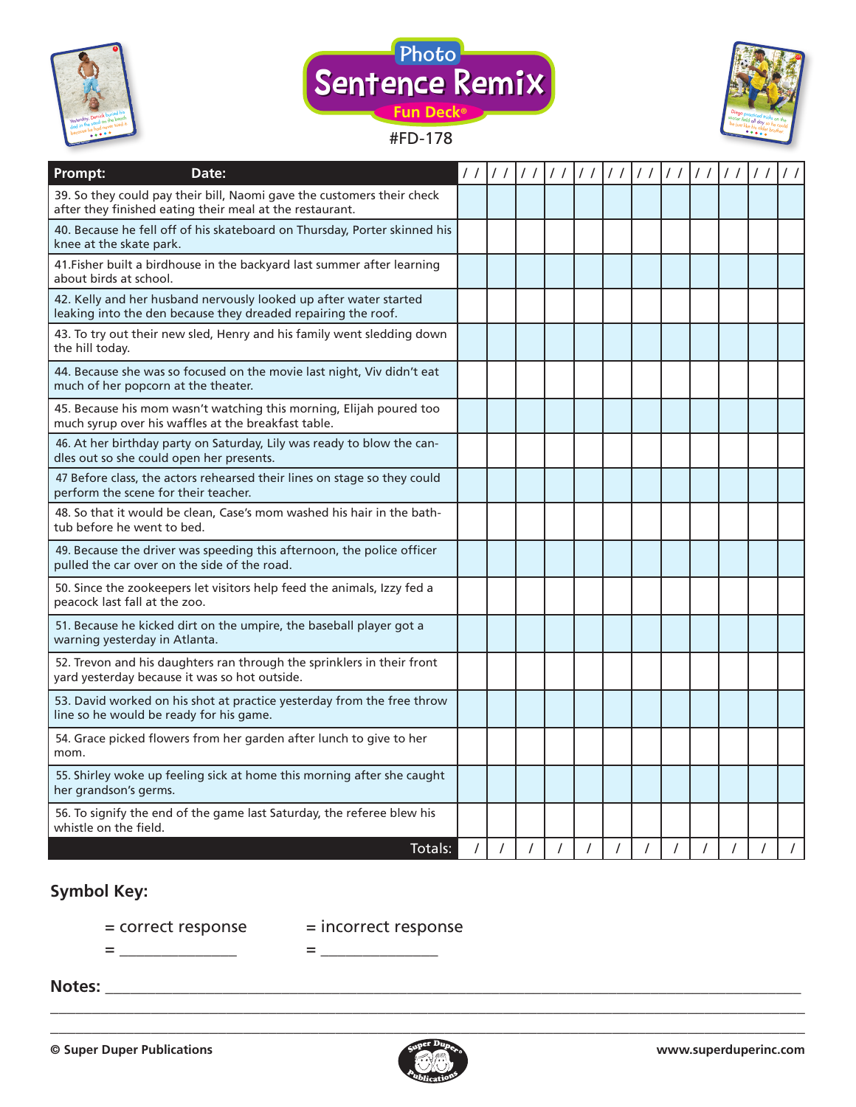





| Prompt:<br>Date:                                                                                                                   | $\frac{1}{2}$ | $\frac{1}{2}$ |          | $\frac{1}{2}$ | $\frac{1}{2}$ | $\frac{1}{2}$ | $\prime$ / | $\frac{1}{2}$ |  | $\prime$ / |
|------------------------------------------------------------------------------------------------------------------------------------|---------------|---------------|----------|---------------|---------------|---------------|------------|---------------|--|------------|
| 39. So they could pay their bill, Naomi gave the customers their check<br>after they finished eating their meal at the restaurant. |               |               |          |               |               |               |            |               |  |            |
| 40. Because he fell off of his skateboard on Thursday, Porter skinned his<br>knee at the skate park.                               |               |               |          |               |               |               |            |               |  |            |
| 41. Fisher built a birdhouse in the backyard last summer after learning<br>about birds at school.                                  |               |               |          |               |               |               |            |               |  |            |
| 42. Kelly and her husband nervously looked up after water started<br>leaking into the den because they dreaded repairing the roof. |               |               |          |               |               |               |            |               |  |            |
| 43. To try out their new sled, Henry and his family went sledding down<br>the hill today.                                          |               |               |          |               |               |               |            |               |  |            |
| 44. Because she was so focused on the movie last night, Viv didn't eat<br>much of her popcorn at the theater.                      |               |               |          |               |               |               |            |               |  |            |
| 45. Because his mom wasn't watching this morning, Elijah poured too<br>much syrup over his waffles at the breakfast table.         |               |               |          |               |               |               |            |               |  |            |
| 46. At her birthday party on Saturday, Lily was ready to blow the can-<br>dles out so she could open her presents.                 |               |               |          |               |               |               |            |               |  |            |
| 47 Before class, the actors rehearsed their lines on stage so they could<br>perform the scene for their teacher.                   |               |               |          |               |               |               |            |               |  |            |
| 48. So that it would be clean, Case's mom washed his hair in the bath-<br>tub before he went to bed.                               |               |               |          |               |               |               |            |               |  |            |
| 49. Because the driver was speeding this afternoon, the police officer<br>pulled the car over on the side of the road.             |               |               |          |               |               |               |            |               |  |            |
| 50. Since the zookeepers let visitors help feed the animals, Izzy fed a<br>peacock last fall at the zoo.                           |               |               |          |               |               |               |            |               |  |            |
| 51. Because he kicked dirt on the umpire, the baseball player got a<br>warning yesterday in Atlanta.                               |               |               |          |               |               |               |            |               |  |            |
| 52. Trevon and his daughters ran through the sprinklers in their front<br>yard yesterday because it was so hot outside.            |               |               |          |               |               |               |            |               |  |            |
| 53. David worked on his shot at practice yesterday from the free throw<br>line so he would be ready for his game.                  |               |               |          |               |               |               |            |               |  |            |
| 54. Grace picked flowers from her garden after lunch to give to her<br>mom.                                                        |               |               |          |               |               |               |            |               |  |            |
| 55. Shirley woke up feeling sick at home this morning after she caught<br>her grandson's germs.                                    |               |               |          |               |               |               |            |               |  |            |
| 56. To signify the end of the game last Saturday, the referee blew his<br>whistle on the field.                                    |               |               |          |               |               |               |            |               |  |            |
| Totals:                                                                                                                            | $\prime$      | $\prime$      | $\prime$ |               |               |               |            |               |  |            |

## **Symbol Key:**

= correct response = incorrect response

= \_\_\_\_\_\_\_\_\_\_\_\_\_\_ = \_\_\_\_\_\_\_\_\_\_\_\_\_\_

#### **Notes:** \_\_\_\_\_\_\_\_\_\_\_\_\_\_\_\_\_\_\_\_\_\_\_\_\_\_\_\_\_\_\_\_\_\_\_\_\_\_\_\_\_\_\_\_\_\_\_\_\_\_\_\_\_\_\_\_\_\_\_\_\_\_\_\_\_\_\_\_\_\_\_\_\_\_\_\_\_\_\_\_\_\_\_



\_\_\_\_\_\_\_\_\_\_\_\_\_\_\_\_\_\_\_\_\_\_\_\_\_\_\_\_\_\_\_\_\_\_\_\_\_\_\_\_\_\_\_\_\_\_\_\_\_\_\_\_\_\_\_\_\_\_\_\_\_\_\_\_\_\_\_\_\_\_\_\_\_\_\_\_\_\_\_\_\_\_\_\_\_\_\_\_\_\_